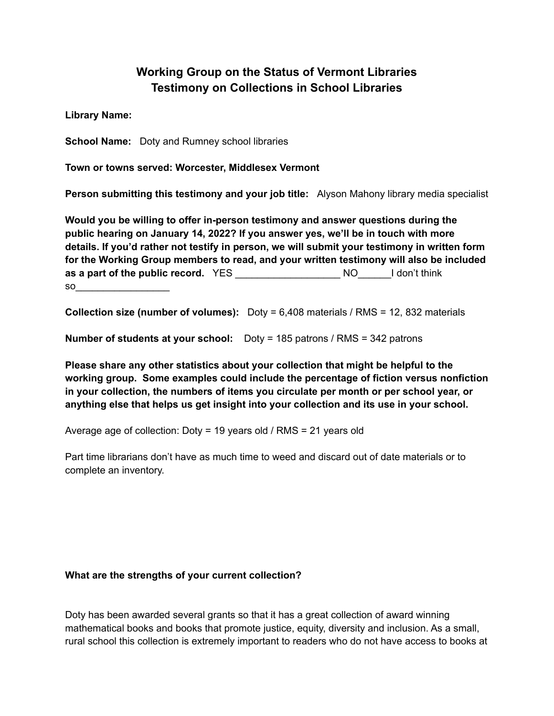## **Working Group on the Status of Vermont Libraries Testimony on Collections in School Libraries**

**Library Name:**

**School Name:** Doty and Rumney school libraries

**Town or towns served: Worcester, Middlesex Vermont**

**Person submitting this testimony and your job title:** Alyson Mahony library media specialist

**Would you be willing to offer in-person testimony and answer questions during the public hearing on January 14, 2022? If you answer yes, we'll be in touch with more details. If you'd rather not testify in person, we will submit your testimony in written form for the Working Group members to read, and your written testimony will also be included as a part of the public record.** YES \_\_\_\_\_\_\_\_\_\_\_\_\_\_\_\_\_\_\_ NO\_\_\_\_\_\_I don't think  $so$   $\qquad \qquad \qquad \qquad$ 

**Collection size (number of volumes):** Doty = 6,408 materials / RMS = 12, 832 materials

**Number of students at your school:** Doty = 185 patrons / RMS = 342 patrons

**Please share any other statistics about your collection that might be helpful to the working group. Some examples could include the percentage of fiction versus nonfiction in your collection, the numbers of items you circulate per month or per school year, or anything else that helps us get insight into your collection and its use in your school.**

Average age of collection: Doty = 19 years old / RMS = 21 years old

Part time librarians don't have as much time to weed and discard out of date materials or to complete an inventory.

## **What are the strengths of your current collection?**

Doty has been awarded several grants so that it has a great collection of award winning mathematical books and books that promote justice, equity, diversity and inclusion. As a small, rural school this collection is extremely important to readers who do not have access to books at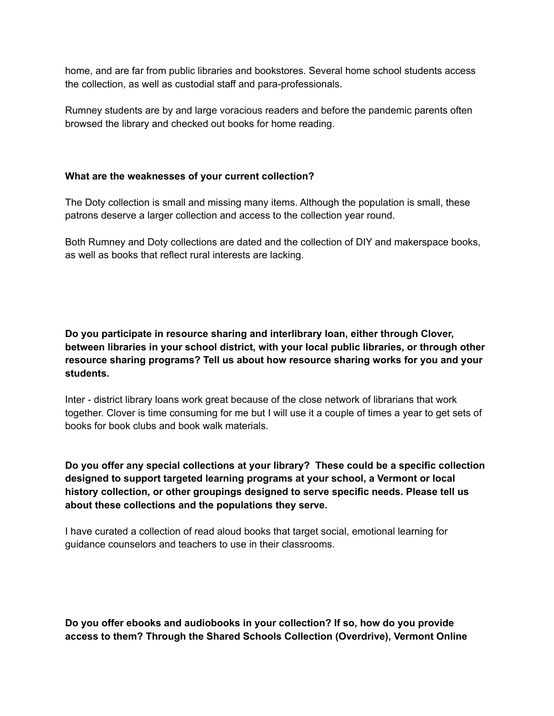home, and are far from public libraries and bookstores. Several home school students access the collection, as well as custodial staff and para-professionals.

Rumney students are by and large voracious readers and before the pandemic parents often browsed the library and checked out books for home reading.

## **What are the weaknesses of your current collection?**

The Doty collection is small and missing many items. Although the population is small, these patrons deserve a larger collection and access to the collection year round.

Both Rumney and Doty collections are dated and the collection of DIY and makerspace books, as well as books that reflect rural interests are lacking.

**Do you participate in resource sharing and interlibrary loan, either through Clover, between libraries in your school district, with your local public libraries, or through other resource sharing programs? Tell us about how resource sharing works for you and your students.**

Inter - district library loans work great because of the close network of librarians that work together. Clover is time consuming for me but I will use it a couple of times a year to get sets of books for book clubs and book walk materials.

**Do you offer any special collections at your library? These could be a specific collection designed to support targeted learning programs at your school, a Vermont or local history collection, or other groupings designed to serve specific needs. Please tell us about these collections and the populations they serve.**

I have curated a collection of read aloud books that target social, emotional learning for guidance counselors and teachers to use in their classrooms.

**Do you offer ebooks and audiobooks in your collection? If so, how do you provide access to them? Through the Shared Schools Collection (Overdrive), Vermont Online**